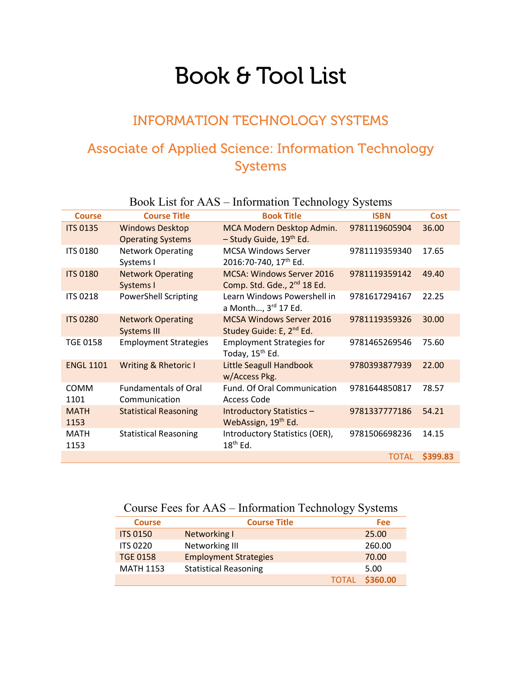# Book & Tool List

## INFORMATION TECHNOLOGY SYSTEMS

## Associate of Applied Science: Information Technology Systems

|                     | DOOR LISE IOF AVAD                                 | mommation recunoisty bysiches                                               |               |             |
|---------------------|----------------------------------------------------|-----------------------------------------------------------------------------|---------------|-------------|
| <b>Course</b>       | <b>Course Title</b>                                | <b>Book Title</b>                                                           | <b>ISBN</b>   | <b>Cost</b> |
| <b>ITS 0135</b>     | <b>Windows Desktop</b><br><b>Operating Systems</b> | MCA Modern Desktop Admin.<br>- Study Guide, 19th Ed.                        | 9781119605904 | 36.00       |
| <b>ITS 0180</b>     | <b>Network Operating</b><br>Systems I              | <b>MCSA Windows Server</b><br>2016:70-740, 17 <sup>th</sup> Ed.             | 9781119359340 | 17.65       |
| <b>ITS 0180</b>     | <b>Network Operating</b><br>Systems I              | <b>MCSA: Windows Server 2016</b><br>Comp. Std. Gde., 2 <sup>nd</sup> 18 Ed. | 9781119359142 | 49.40       |
| <b>ITS 0218</b>     | <b>PowerShell Scripting</b>                        | Learn Windows Powershell in<br>a Month, 3 <sup>rd</sup> 17 Ed.              | 9781617294167 | 22.25       |
| <b>ITS 0280</b>     | <b>Network Operating</b><br><b>Systems III</b>     | <b>MCSA Windows Server 2016</b><br>Studey Guide: E, 2 <sup>nd</sup> Ed.     | 9781119359326 | 30.00       |
| <b>TGE 0158</b>     | <b>Employment Strategies</b>                       | <b>Employment Strategies for</b><br>Today, 15 <sup>th</sup> Ed.             | 9781465269546 | 75.60       |
| <b>ENGL 1101</b>    | Writing & Rhetoric I                               | <b>Little Seagull Handbook</b><br>w/Access Pkg.                             | 9780393877939 | 22.00       |
| <b>COMM</b><br>1101 | <b>Fundamentals of Oral</b><br>Communication       | Fund. Of Oral Communication<br><b>Access Code</b>                           | 9781644850817 | 78.57       |
| <b>MATH</b><br>1153 | <b>Statistical Reasoning</b>                       | <b>Introductory Statistics -</b><br>WebAssign, 19 <sup>th</sup> Ed.         | 9781337777186 | 54.21       |
| <b>MATH</b><br>1153 | <b>Statistical Reasoning</b>                       | Introductory Statistics (OER),<br>$18th$ Ed.                                | 9781506698236 | 14.15       |
|                     |                                                    |                                                                             | <b>TOTAL</b>  | \$399.83    |

#### Book List for AAS – Information Technology Systems

### Course Fees for AAS – Information Technology Systems

| <b>Course</b>    | <b>Course Title</b>          |              | Fee      |
|------------------|------------------------------|--------------|----------|
| <b>ITS 0150</b>  | Networking I                 |              | 25.00    |
| <b>ITS 0220</b>  | Networking III               |              | 260.00   |
| <b>TGE 0158</b>  | <b>Employment Strategies</b> |              | 70.00    |
| <b>MATH 1153</b> | <b>Statistical Reasoning</b> |              | 5.00     |
|                  |                              | <b>TOTAL</b> | \$360.00 |